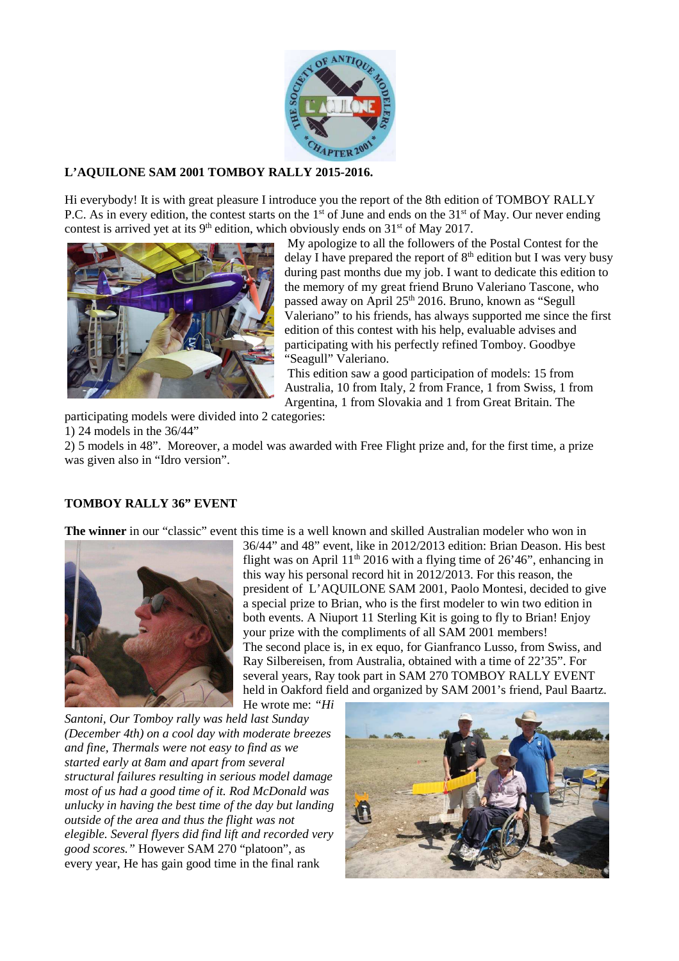

## **L'AQUILONE SAM 2001 TOMBOY RALLY 2015-2016.**

Hi everybody! It is with great pleasure I introduce you the report of the 8th edition of TOMBOY RALLY P.C. As in every edition, the contest starts on the  $1<sup>st</sup>$  of June and ends on the  $31<sup>st</sup>$  of May. Our never ending contest is arrived yet at its  $9<sup>th</sup>$  edition, which obviously ends on  $31<sup>st</sup>$  of May 2017.



 My apologize to all the followers of the Postal Contest for the delay I have prepared the report of  $8<sup>th</sup>$  edition but I was very busy during past months due my job. I want to dedicate this edition to the memory of my great friend Bruno Valeriano Tascone, who passed away on April 25<sup>th</sup> 2016. Bruno, known as "Segull Valeriano" to his friends, has always supported me since the first edition of this contest with his help, evaluable advises and participating with his perfectly refined Tomboy. Goodbye "Seagull" Valeriano.

 This edition saw a good participation of models: 15 from Australia, 10 from Italy, 2 from France, 1 from Swiss, 1 from Argentina, 1 from Slovakia and 1 from Great Britain. The

participating models were divided into 2 categories:

1) 24 models in the 36/44"

2) 5 models in 48". Moreover, a model was awarded with Free Flight prize and, for the first time, a prize was given also in "Idro version".

## **TOMBOY RALLY 36" EVENT**

**The winner** in our "classic" event this time is a well known and skilled Australian modeler who won in



36/44" and 48" event, like in 2012/2013 edition: Brian Deason. His best flight was on April  $11<sup>th</sup>$  2016 with a flying time of 26'46", enhancing in this way his personal record hit in 2012/2013. For this reason, the president of L'AQUILONE SAM 2001, Paolo Montesi, decided to give a special prize to Brian, who is the first modeler to win two edition in both events. A Niuport 11 Sterling Kit is going to fly to Brian! Enjoy your prize with the compliments of all SAM 2001 members! The second place is, in ex equo, for Gianfranco Lusso, from Swiss, and Ray Silbereisen, from Australia, obtained with a time of 22'35". For several years, Ray took part in SAM 270 TOMBOY RALLY EVENT held in Oakford field and organized by SAM 2001's friend, Paul Baartz.

He wrote me: *"Hi Santoni, Our Tomboy rally was held last Sunday (December 4th) on a cool day with moderate breezes and fine, Thermals were not easy to find as we started early at 8am and apart from several structural failures resulting in serious model damage most of us had a good time of it. Rod McDonald was unlucky in having the best time of the day but landing outside of the area and thus the flight was not elegible. Several flyers did find lift and recorded very good scores."* However SAM 270 "platoon", as every year, He has gain good time in the final rank

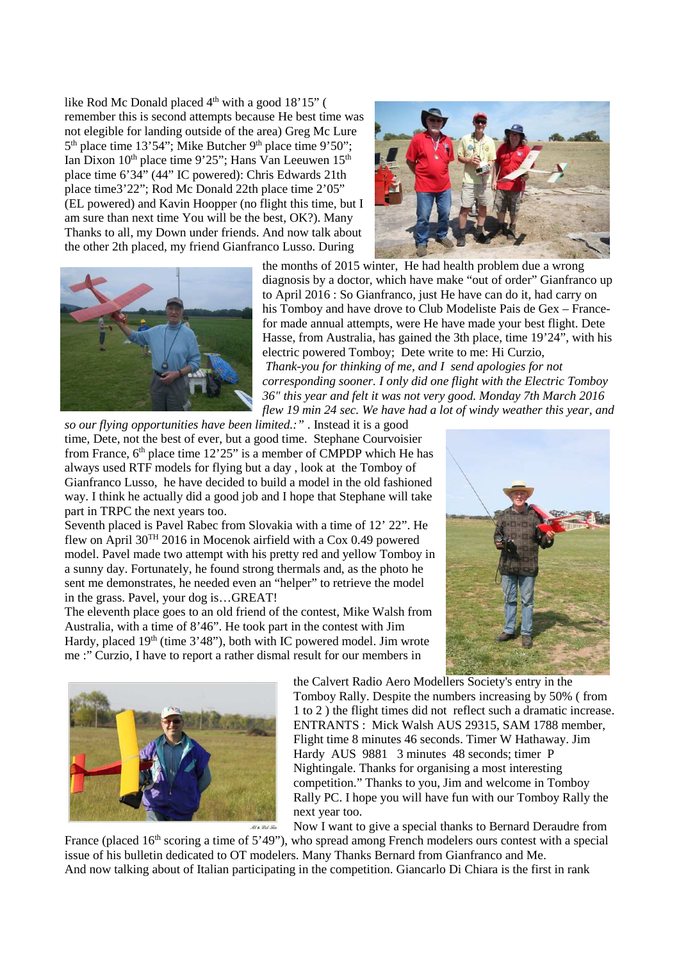like Rod Mc Donald placed 4<sup>th</sup> with a good 18'15" ( remember this is second attempts because He best time was not elegible for landing outside of the area) Greg Mc Lure  $5<sup>th</sup>$  place time 13'54"; Mike Butcher 9<sup>th</sup> place time 9'50"; Ian Dixon 10<sup>th</sup> place time 9'25"; Hans Van Leeuwen 15<sup>th</sup> place time 6'34" (44" IC powered): Chris Edwards 21th place time3'22"; Rod Mc Donald 22th place time 2'05" (EL powered) and Kavin Hoopper (no flight this time, but I am sure than next time You will be the best, OK?). Many Thanks to all, my Down under friends. And now talk about the other 2th placed, my friend Gianfranco Lusso. During





the months of 2015 winter, He had health problem due a wrong diagnosis by a doctor, which have make "out of order" Gianfranco up to April 2016 : So Gianfranco, just He have can do it, had carry on his Tomboy and have drove to Club Modeliste Pais de Gex – Francefor made annual attempts, were He have made your best flight. Dete Hasse, from Australia, has gained the 3th place, time 19'24", with his electric powered Tomboy; Dete write to me: Hi Curzio,  *Thank-you for thinking of me, and I send apologies for not corresponding sooner. I only did one flight with the Electric Tomboy 36" this year and felt it was not very good. Monday 7th March 2016 flew 19 min 24 sec. We have had a lot of windy weather this year, and* 

*so our flying opportunities have been limited.:"* . Instead it is a good time, Dete, not the best of ever, but a good time. Stephane Courvoisier from France,  $6<sup>th</sup>$  place time 12'25" is a member of CMPDP which He has always used RTF models for flying but a day , look at the Tomboy of Gianfranco Lusso, he have decided to build a model in the old fashioned way. I think he actually did a good job and I hope that Stephane will take part in TRPC the next years too.

Seventh placed is Pavel Rabec from Slovakia with a time of 12' 22". He flew on April 30TH 2016 in Mocenok airfield with a Cox 0.49 powered model. Pavel made two attempt with his pretty red and yellow Tomboy in a sunny day. Fortunately, he found strong thermals and, as the photo he sent me demonstrates, he needed even an "helper" to retrieve the model in the grass. Pavel, your dog is…GREAT!

The eleventh place goes to an old friend of the contest, Mike Walsh from Australia, with a time of 8'46". He took part in the contest with Jim Hardy, placed 19<sup>th</sup> (time 3'48"), both with IC powered model. Jim wrote me :" Curzio, I have to report a rather dismal result for our members in





the Calvert Radio Aero Modellers Society's entry in the Tomboy Rally. Despite the numbers increasing by 50% ( from 1 to 2 ) the flight times did not reflect such a dramatic increase. ENTRANTS : Mick Walsh AUS 29315, SAM 1788 member, Flight time 8 minutes 46 seconds. Timer W Hathaway. Jim Hardy AUS 9881 3 minutes 48 seconds; timer P Nightingale. Thanks for organising a most interesting competition." Thanks to you, Jim and welcome in Tomboy Rally PC. I hope you will have fun with our Tomboy Rally the next year too.

Now I want to give a special thanks to Bernard Deraudre from

France (placed  $16<sup>th</sup>$  scoring a time of 5'49"), who spread among French modelers ours contest with a special issue of his bulletin dedicated to OT modelers. Many Thanks Bernard from Gianfranco and Me. And now talking about of Italian participating in the competition. Giancarlo Di Chiara is the first in rank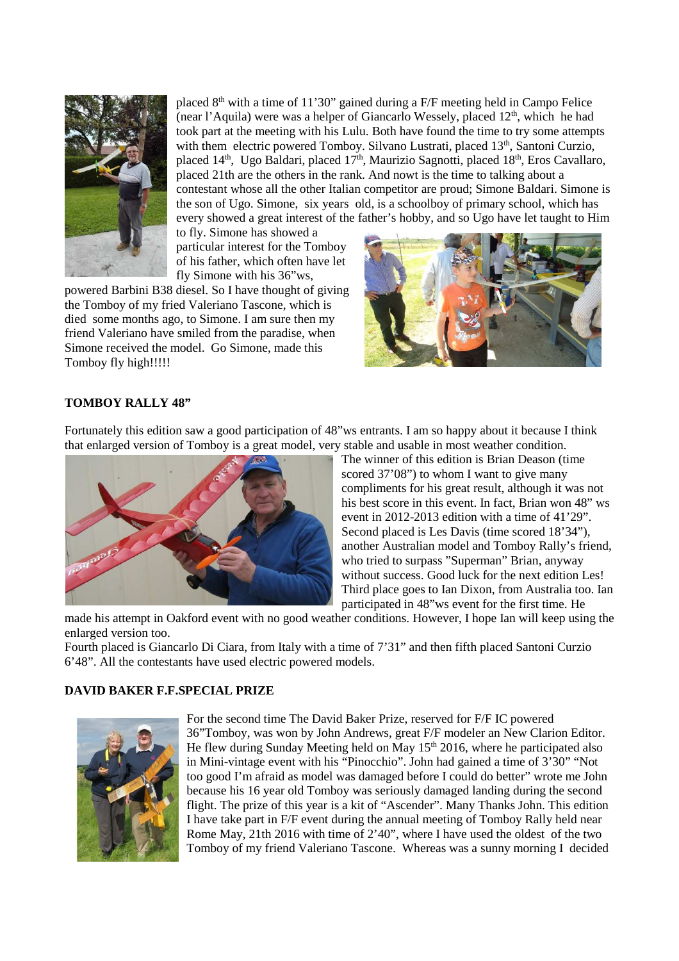

placed  $8<sup>th</sup>$  with a time of 11'30" gained during a F/F meeting held in Campo Felice (near l'Aquila) were was a helper of Giancarlo Wessely, placed  $12<sup>th</sup>$ , which he had took part at the meeting with his Lulu. Both have found the time to try some attempts with them electric powered Tomboy. Silvano Lustrati, placed 13<sup>th</sup>, Santoni Curzio, placed 14<sup>th</sup>, Ugo Baldari, placed 17<sup>th</sup>, Maurizio Sagnotti, placed 18<sup>th</sup>, Eros Cavallaro, placed 21th are the others in the rank. And nowt is the time to talking about a contestant whose all the other Italian competitor are proud; Simone Baldari. Simone is the son of Ugo. Simone, six years old, is a schoolboy of primary school, which has every showed a great interest of the father's hobby, and so Ugo have let taught to Him

to fly. Simone has showed a particular interest for the Tomboy of his father, which often have let fly Simone with his 36"ws,

powered Barbini B38 diesel. So I have thought of giving the Tomboy of my fried Valeriano Tascone, which is died some months ago, to Simone. I am sure then my friend Valeriano have smiled from the paradise, when Simone received the model. Go Simone, made this Tomboy fly high!!!!!



## **TOMBOY RALLY 48"**

Fortunately this edition saw a good participation of 48"ws entrants. I am so happy about it because I think that enlarged version of Tomboy is a great model, very stable and usable in most weather condition.



The winner of this edition is Brian Deason (time scored 37'08") to whom I want to give many compliments for his great result, although it was not his best score in this event. In fact, Brian won 48" ws event in 2012-2013 edition with a time of 41'29". Second placed is Les Davis (time scored 18'34"), another Australian model and Tomboy Rally's friend, who tried to surpass "Superman" Brian, anyway without success. Good luck for the next edition Les! Third place goes to Ian Dixon, from Australia too. Ian participated in 48"ws event for the first time. He

made his attempt in Oakford event with no good weather conditions. However, I hope Ian will keep using the enlarged version too.

Fourth placed is Giancarlo Di Ciara, from Italy with a time of 7'31" and then fifth placed Santoni Curzio 6'48". All the contestants have used electric powered models.

#### **DAVID BAKER F.F.SPECIAL PRIZE**



For the second time The David Baker Prize, reserved for F/F IC powered 36"Tomboy, was won by John Andrews, great F/F modeler an New Clarion Editor. He flew during Sunday Meeting held on May  $15<sup>th</sup>$  2016, where he participated also in Mini-vintage event with his "Pinocchio". John had gained a time of 3'30" "Not too good I'm afraid as model was damaged before I could do better" wrote me John because his 16 year old Tomboy was seriously damaged landing during the second flight. The prize of this year is a kit of "Ascender". Many Thanks John. This edition I have take part in F/F event during the annual meeting of Tomboy Rally held near Rome May, 21th 2016 with time of 2'40", where I have used the oldest of the two Tomboy of my friend Valeriano Tascone. Whereas was a sunny morning I decided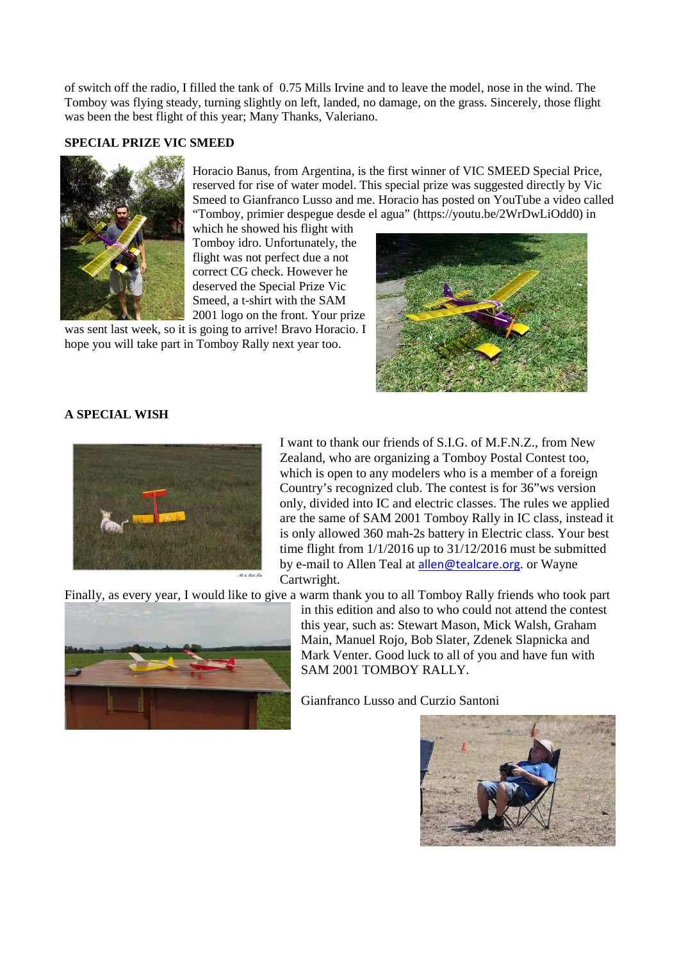of switch off the radio, I filled the tank of 0.75 Mills Irvine and to leave the model, nose in the wind. The Tomboy was flying steady, turning slightly on left, landed, no damage, on the grass. Sincerely, those flight was been the best flight of this year; Many Thanks, Valeriano.

#### **SPECIAL PRIZE VIC SMEED**



Horacio Banus, from Argentina, is the first winner of VIC SMEED Special Price, reserved for rise of water model. This special prize was suggested directly by Vic Smeed to Gianfranco Lusso and me. Horacio has posted on YouTube a video called "Tomboy, primier despegue desde el agua" (https://youtu.be/2WrDwLiOdd0) in

which he showed his flight with Tomboy idro. Unfortunately, the flight was not perfect due a not correct CG check. However he deserved the Special Prize Vic Smeed, a t-shirt with the SAM 2001 logo on the front. Your prize

was sent last week, so it is going to arrive! Bravo Horacio. I hope you will take part in Tomboy Rally next year too.



#### **A SPECIAL WISH**



I want to thank our friends of S.I.G. of M.F.N.Z., from New Zealand, who are organizing a Tomboy Postal Contest too, which is open to any modelers who is a member of a foreign Country's recognized club. The contest is for 36"ws version only, divided into IC and electric classes. The rules we applied are the same of SAM 2001 Tomboy Rally in IC class, instead it is only allowed 360 mah-2s battery in Electric class. Your best time flight from 1/1/2016 up to 31/12/2016 must be submitted by e-mail to Allen Teal at allen@tealcare.org. or Wayne Cartwright.

Finally, as every year, I would like to give a warm thank you to all Tomboy Rally friends who took part



in this edition and also to who could not attend the contest this year, such as: Stewart Mason, Mick Walsh, Graham Main, Manuel Rojo, Bob Slater, Zdenek Slapnicka and Mark Venter. Good luck to all of you and have fun with SAM 2001 TOMBOY RALLY.

Gianfranco Lusso and Curzio Santoni

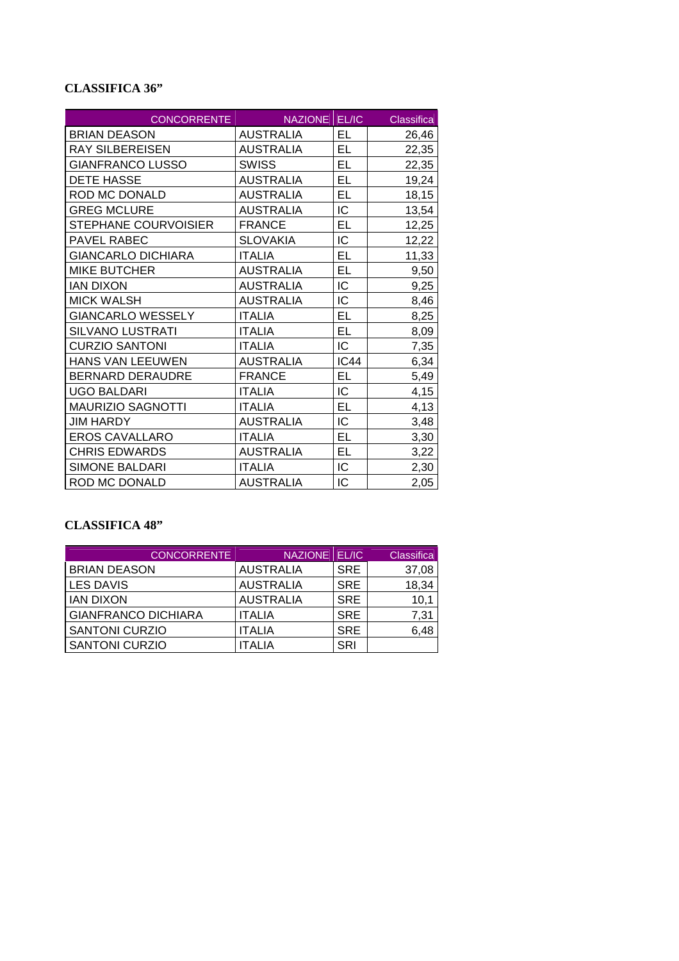# **CLASSIFICA 36"**

| <b>CONCORRENTE</b>        | NAZIONE EL/IC    |             | Classifica |
|---------------------------|------------------|-------------|------------|
| <b>BRIAN DEASON</b>       | <b>AUSTRALIA</b> | EL          | 26,46      |
| <b>RAY SILBEREISEN</b>    | <b>AUSTRALIA</b> | EL          | 22,35      |
| <b>GIANFRANCO LUSSO</b>   | <b>SWISS</b>     | EL          | 22,35      |
| <b>DETE HASSE</b>         | <b>AUSTRALIA</b> | EL          | 19,24      |
| ROD MC DONALD             | <b>AUSTRALIA</b> | EL          | 18,15      |
| <b>GREG MCLURE</b>        | <b>AUSTRALIA</b> | IC          | 13,54      |
| STEPHANE COURVOISIER      | <b>FRANCE</b>    | EL          | 12,25      |
| <b>PAVEL RABEC</b>        | <b>SLOVAKIA</b>  | IC          | 12,22      |
| <b>GIANCARLO DICHIARA</b> | <b>ITALIA</b>    | EL          | 11,33      |
| <b>MIKE BUTCHER</b>       | <b>AUSTRALIA</b> | EL          | 9,50       |
| <b>IAN DIXON</b>          | <b>AUSTRALIA</b> | IC          | 9,25       |
| <b>MICK WALSH</b>         | <b>AUSTRALIA</b> | IC          | 8,46       |
| <b>GIANCARLO WESSELY</b>  | <b>ITALIA</b>    | EL          | 8,25       |
| <b>SILVANO LUSTRATI</b>   | <b>ITALIA</b>    | EL          | 8,09       |
| <b>CURZIO SANTONI</b>     | <b>ITALIA</b>    | IC          | 7,35       |
| <b>HANS VAN LEEUWEN</b>   | <b>AUSTRALIA</b> | <b>IC44</b> | 6,34       |
| <b>BERNARD DERAUDRE</b>   | <b>FRANCE</b>    | EL          | 5,49       |
| <b>UGO BALDARI</b>        | <b>ITALIA</b>    | IC          | 4,15       |
| <b>MAURIZIO SAGNOTTI</b>  | <b>ITALIA</b>    | EL          | 4,13       |
| <b>JIM HARDY</b>          | <b>AUSTRALIA</b> | IC          | 3,48       |
| <b>EROS CAVALLARO</b>     | <b>ITALIA</b>    | <b>EL</b>   | 3,30       |
| <b>CHRIS EDWARDS</b>      | <b>AUSTRALIA</b> | EL          | 3,22       |
| <b>SIMONE BALDARI</b>     | <b>ITALIA</b>    | IC          | 2,30       |
| ROD MC DONALD             | <b>AUSTRALIA</b> | IC          | 2,05       |

# **CLASSIFICA 48"**

| <b>CONCORRENTE</b>         | NAZIONE EL/IC    |            | Classifica |
|----------------------------|------------------|------------|------------|
| <b>BRIAN DEASON</b>        | <b>AUSTRALIA</b> | <b>SRE</b> | 37,08      |
| <b>LES DAVIS</b>           | <b>AUSTRALIA</b> | <b>SRE</b> | 18,34      |
| <b>IAN DIXON</b>           | <b>AUSTRALIA</b> | <b>SRE</b> | 10.1       |
| <b>GIANFRANCO DICHIARA</b> | <b>ITALIA</b>    | <b>SRE</b> | 7,31       |
| <b>SANTONI CURZIO</b>      | <b>ITALIA</b>    | <b>SRE</b> | 6,48       |
| <b>SANTONI CURZIO</b>      | ITALIA           | <b>SRI</b> |            |